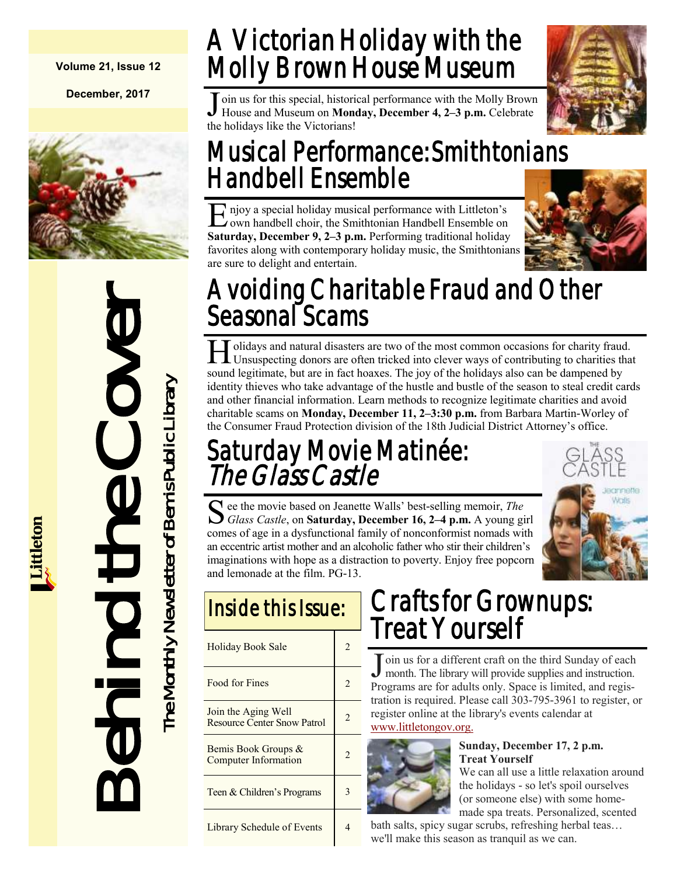#### **Volume 21, Issue 12**

**December, 2017**



Behind the Cover The Monthly Newsletter of Bemis Public Library The Monthly Newsletter of Bemis Public Library

## A Victorian Holiday with the Molly Brown House Museum

J oin us for this special, historical performance with the Molly Brown<br>House and Museum on Monday, December 4, 2–3 p.m. Celebrate House and Museum on **Monday, December 4, 2–3 p.m.** Celebrate the holidays like the Victorians!



### Musical Performance: Smithtonians Handbell Ensemble

E njoy a special holiday musical performance with Littleton's<br>
cown handbell choir, the Smithtonian Handbell Ensemble on njoy a special holiday musical performance with Littleton's **Saturday, December 9, 2–3 p.m.** Performing traditional holiday favorites along with contemporary holiday music, the Smithtonians are sure to delight and entertain.



## Avoiding Charitable Fraud and Other Seasonal Scams

H Unsuspecting donors are often tricked into clever ways of contributing to charities that I olidays and natural disasters are two of the most common occasions for charity fraud. sound legitimate, but are in fact hoaxes. The joy of the holidays also can be dampened by identity thieves who take advantage of the hustle and bustle of the season to steal credit cards and other financial information. Learn methods to recognize legitimate charities and avoid charitable scams on **Monday, December 11, 2–3:30 p.m.** from Barbara Martin-Worley of the Consumer Fraud Protection division of the 18th Judicial District Attorney's office.

### Saturday Movie Matinée: The Glass Castle

S ee the movie based on Jeanette Walls' best-selling memoir, *The Glass Castle*, on **Saturday, December 16, 2–4 p.m.** A young girl ee the movie based on Jeanette Walls' best-selling memoir, *The*  comes of age in a dysfunctional family of nonconformist nomads with an eccentric artist mother and an alcoholic father who stir their children's imaginations with hope as a distraction to poverty. Enjoy free popcorn and lemonade at the film. PG-13.

|  | Jeannette:<br>Wats |
|--|--------------------|
|  |                    |
|  |                    |

| <u>Inside this issue:</u>                                 |                       |  |
|-----------------------------------------------------------|-----------------------|--|
| <b>Holiday Book Sale</b>                                  |                       |  |
| Food for Fines                                            |                       |  |
| Join the Aging Well<br><b>Resource Center Snow Patrol</b> | $\mathcal{D}_{\cdot}$ |  |
| Bemis Book Groups &<br>Computer Information               |                       |  |
| Teen & Children's Programs                                |                       |  |
| <b>Library Schedule of Events</b>                         |                       |  |

Inside this Issue:

## Crafts for Grownups: Treat Yourself

J oin us for a different craft on the third Sunday of each month. The library will provide supplies and instruction. month. The library will provide supplies and instruction. Programs are for adults only. Space is limited, and registration is required. Please call 303-795-3961 to register, or register online at the library's events calendar at [www.littletongov.org.](https://www.littletongov.org/city-services/city-departments/bemis-library/library-events-calendar/-curm-12/-cury-2017)



#### **Sunday, December 17, 2 p.m. Treat Yourself**

We can all use a little relaxation around the holidays - so let's spoil ourselves (or someone else) with some homemade spa treats. Personalized, scented

bath salts, spicy sugar scrubs, refreshing herbal teas… we'll make this season as tranquil as we can.

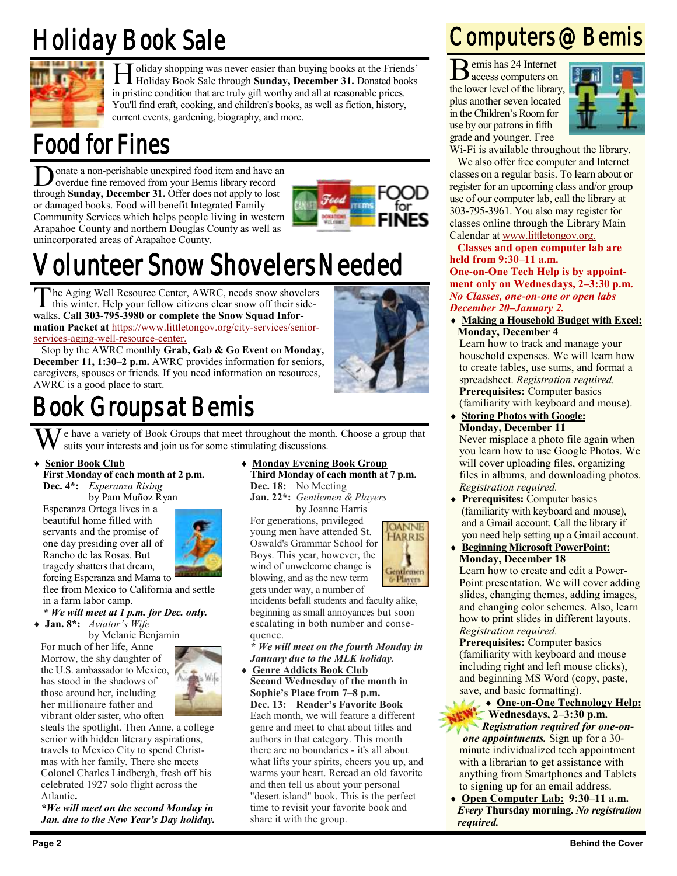## Holiday Book Sale



**H** oliday shopping was never easier than buying books at the Friend Holiday Book Sale through **Sunday, December 31.** Donated boot in pristine condition that are truly gift worthy and all at reasonable prices. oliday shopping was never easier than buying books at the Friends' Holiday Book Sale through **Sunday, December 31.** Donated books You'll find craft, cooking, and children's books, as well as fiction, history, current events, gardening, biography, and more.

### Food for Fines

**D** onate a non-perishable unexpired food item and have an overdue fine removed from your Bemis library record through **Sunday, December 31.** Offer does not apply to lost onate a non-perishable unexpired food item and have an overdue fine removed from your Bemis library record or damaged books. Food will benefit Integrated Family Community Services which helps people living in western Arapahoe County and northern Douglas County as well as unincorporated areas of Arapahoe County.



## Volunteer Snow Shovelers Needed

The Aging Well Resource Center, AWRC, needs snow shove<br>this winter. Help your fellow citizens clear snow off their si<br>walks. Call 303-795-3980 or complete the Snow Squad Inforhe Aging Well Resource Center, AWRC, needs snow shovelers this winter. Help your fellow citizens clear snow off their side**mation Packet at** [https://www.littletongov.org/city-services/senior](https://www.littletongov.org/city-services/senior-services-aging-well-resource-center)[services-aging-well-resource-center.](https://www.littletongov.org/city-services/senior-services-aging-well-resource-center)

Stop by the AWRC monthly **Grab, Gab & Go Event** on **Monday, December 11, 1:30–2 p.m.** AWRC provides information for seniors, caregivers, spouses or friends. If you need information on resources, AWRC is a good place to start.

## Book Groups at Bemis

We have a variety of Book Groups that meet throughout the month. Choose a group that suits your interests and join us for some stimulating discussions.

#### **Senior Book Club**

**First Monday of each month at 2 p.m.**

**Dec. 4\*:** *Esperanza Rising* by Pam Muñoz Ryan

Esperanza Ortega lives in a beautiful home filled with servants and the promise of one day presiding over all of Rancho de las Rosas. But tragedy shatters that dream, forcing Esperanza and Mama to

flee from Mexico to California and settle in a farm labor camp.

#### *\* We will meet at 1 p.m. for Dec. only.*

**Jan. 8\*:** *Aviator's Wife*

by Melanie Benjamin

For much of her life, Anne Morrow, the shy daughter of the U.S. ambassador to Mexico, has stood in the shadows of those around her, including her millionaire father and vibrant older sister, who often



steals the spotlight. Then Anne, a college senior with hidden literary aspirations, travels to Mexico City to spend Christmas with her family. There she meets Colonel Charles Lindbergh, fresh off his celebrated 1927 solo flight across the Atlantic**.**

*\*We will meet on the second Monday in Jan. due to the New Year's Day holiday.*

#### **Monday Evening Book Group Third Monday of each month at 7 p.m.**

**Dec. 18:** No Meeting **Jan. 22\*:** *Gentlemen & Players* by Joanne Harris

For generations, privileged young men have attended St. Oswald's Grammar School for Boys. This year, however, the wind of unwelcome change is blowing, and as the new term gets under way, a number of

incidents befall students and faculty alike, beginning as small annoyances but soon escalating in both number and consequence.

**OANNE HARRIS** 

Gentlemen<br>Ge Players

*\* We will meet on the fourth Monday in January due to the MLK holiday.*

 **Genre Addicts Book Club Second Wednesday of the month in Sophie's Place from 7–8 p.m. Dec. 13: Reader's Favorite Book** Each month, we will feature a different genre and meet to chat about titles and authors in that category. This month there are no boundaries - it's all about what lifts your spirits, cheers you up, and warms your heart. Reread an old favorite and then tell us about your personal "desert island" book. This is the perfect time to revisit your favorite book and share it with the group.

### Computers @ Bemis

B emis has 24 Internet access computers on the lower level of the library, plus another seven located in the Children's Room for use by our patrons in fifth grade and younger. Free



Wi-Fi is available throughout the library.

We also offer free computer and Internet classes on a regular basis. To learn about or register for an upcoming class and/or group use of our computer lab, call the library at 303-795-3961. You also may register for classes online through the Library Main Calendar at [www.littletongov.org.](https://www.littletongov.org/city-services/city-departments/bemis-library/library-events-calendar/-curm-12/-cury-2017/-selcat-157)

**Classes and open computer lab are held from 9:30–11 a.m. One-on-One Tech Help is by appointment only on Wednesdays, 2–3:30 p.m.** *No Classes, one-on-one or open labs December 20–January 2.*

 **Making a Household Budget with Excel: Monday, December 4**

Learn how to track and manage your household expenses. We will learn how to create tables, use sums, and format a spreadsheet. *Registration required.* **Prerequisites:** Computer basics (familiarity with keyboard and mouse).

 **Storing Photos with Google: Monday, December 11**

Never misplace a photo file again when you learn how to use Google Photos. We will cover uploading files, organizing files in albums, and downloading photos. *Registration required.*

- **Prerequisites:** Computer basics (familiarity with keyboard and mouse), and a Gmail account. Call the library if you need help setting up a Gmail account.
- **Beginning Microsoft PowerPoint: Monday, December 18** Learn how to create and edit a Power-Point presentation. We will cover adding slides, changing themes, adding images, and changing color schemes. Also, learn how to print slides in different layouts. *Registration required.*

**Prerequisites:** Computer basics (familiarity with keyboard and mouse including right and left mouse clicks), and beginning MS Word (copy, paste, save, and basic formatting).

- **One-on-One Technology Help: Wednesdays, 2–3:30 p.m.** *Registration required for one-onone appointments.* Sign up for a 30 minute individualized tech appointment with a librarian to get assistance with anything from Smartphones and Tablets to signing up for an email address.
- **Open Computer Lab: 9:30–11 a.m.** *Every* **Thursday morning.** *No registration required.*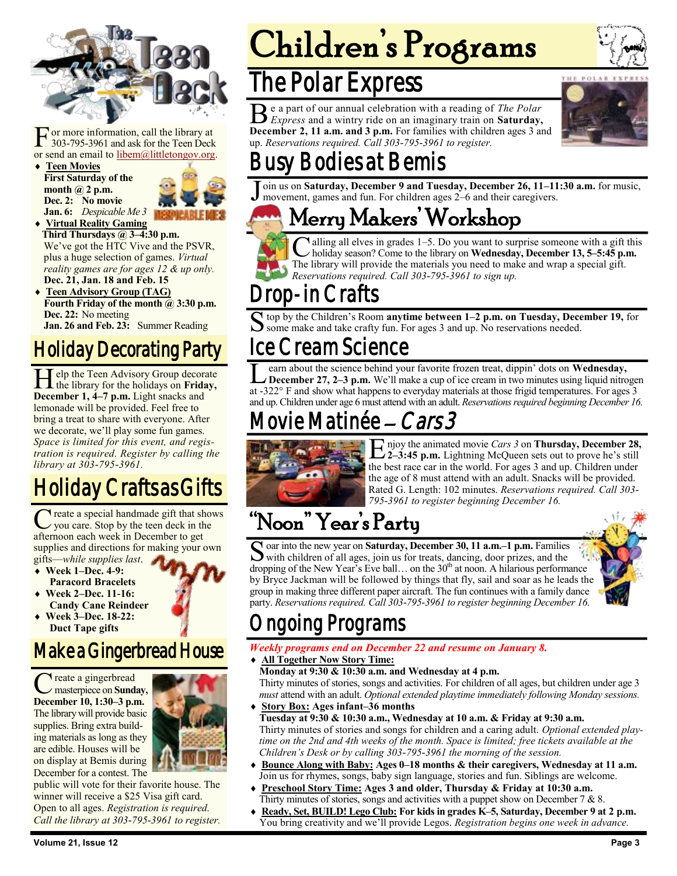

F or more information, call the library at 303-795-3961 and ask for the Teen Deck or send an email to [libem@littletongov.org.](mailto:libem@littletongov.org.)

 **Teen Movies First Saturday of the month @ 2 p.m. Dec. 2: No movie Jan. 6:** *Despicable Me 3*



- **Virtual Reality Gaming Third Thursdays @ 3–4:30 p.m.** We've got the HTC Vive and the PSVR, plus a huge selection of games. *Virtual reality games are for ages 12 & up only.* **Dec. 21, Jan. 18 and Feb. 15**
- **Teen Advisory Group (TAG) Fourth Friday of the month @ 3:30 p.m. Dec. 22:** No meeting **Jan. 26 and Feb. 23:** Summer Reading

#### Holiday Decorating Party

**H** elp the Teen Advisory Group decorate the library for the holidays on **Frida** December 1, 4–7 p.m. Light snacks and elp the Teen Advisory Group decorate the library for the holidays on **Friday,**  lemonade will be provided. Feel free to bring a treat to share with everyone. After we decorate, we'll play some fun games. *Space is limited for this event, and registration is required. Register by calling the library at 303-795-3961.*

### Holiday Crafts as Gifts

 $\overline{\mathsf{C}}$ reate a special handmade gift that shows you care. Stop by the teen deck in the afternoon each week in December to get supplies and directions for making your own gifts—*while supplies last*.

- **Week 1–Dec. 4-9: Paracord Bracelets**
- **Week 2–Dec. 11-16: Candy Cane Reindeer**
- **Week 3–Dec. 18-22: Duct Tape gifts**

#### Make a Gingerbread House

C reate a gingerbread<br>
masterpiece on Sunday<br>
December 10, 1:30–3 p.m. reate a gingerbread masterpiece on **Sunday,**  The library will provide basic supplies. Bring extra building materials as long as they are edible. Houses will be on display at Bemis during December for a contest. The



public will vote for their favorite house. The winner will receive a \$25 Visa gift card. Open to all ages. *Registration is required. Call the library at 303-795-3961 to register.*

# Children's Programs

### The Polar Express

B e a part of our annual celebration with a reading of *The Polar Express* and a wintry ride on an imaginary train on **Saturday**, e a part of our annual celebration with a reading of *The Polar*  **December 2, 11 a.m. and 3 p.m.** For families with children ages 3 and up. *Reservations required. Call 303-795-3961 to register.*



## Busy Bodies at Bemis

J oin us on **Saturday, December 9 and Tuesday, December 26, 11–11:30 a.m.** for music, movement, games and fun. For children ages 2–6 and their caregivers.

### Merry Makers' Workshop

 $\overline{\mathbf{C}}$ alling all elves in grades 1–5. Do you want to surprise someone with a gift this holiday season? Come to the library on **Wednesday, December 13, 5–5:45 p.m.** The library will provide the materials you need to make and wrap a special gift. *Reservations required. Call 303-795-3961 to sign up.*

### -in Crafts

S top by the Children's Room **anytime between 1–2 p.m. on Tuesday, December 19,** for some make and take crafty fun. For ages 3 and up. No reservations needed.

#### Ice Cream Science

L earn about the science behind your favorite frozen treat, dippin' dots on Wednesday,<br>December 27, 2–3 p.m. We'll make a cup of ice cream in two minutes using liquid nitrogen at -322° F and show what happens to everyday m earn about the science behind your favorite frozen treat, dippin' dots on **Wednesday, December 27, 2–3 p.m.** We'll make a cup of ice cream in two minutes using liquid nitrogen and up. Children under age 6 must attend with an adult. *Reservations required beginning December 16.*

### ie Matinée – *Cars 3*



E njoy the animated movie *Cars 3* on **Thursday, December 28,** 2-3:45 p.m. Lightning McQueen sets out to prove he's still **2–3:45 p.m.** Lightning McQueen sets out to prove he's still the best race car in the world. For ages 3 and up. Children under the age of 8 must attend with an adult. Snacks will be provided. Rated G. Length: 102 minutes. *Reservations required. Call 303- 795-3961 to register beginning December 16.*

### "Noon" Year's Party

S oar into the new year on Saturday, December 30, 11 a.m.–1 p.m. Families<br>With children of all ages, join us for treats, dancing, door prizes, and the oar into the new year on **Saturday, December 30, 11 a.m.–1 p.m.** Families dropping of the New Year's Eve ball... on the  $30<sup>th</sup>$  at noon. A hilarious performance by Bryce Jackman will be followed by things that fly, sail and soar as he leads the group in making three different paper aircraft. The fun continues with a family dance party. *Reservations required. Call 303-795-3961 to register beginning December 16.*



### ngoing Programs

#### *Weekly programs end on December 22 and resume on January 8.*

**All Together Now Story Time:**

**Monday at 9:30 & 10:30 a.m. and Wednesday at 4 p.m.** Thirty minutes of stories, songs and activities. For children of all ages, but children under age 3 *must* attend with an adult. *Optional extended playtime immediately following Monday sessions.*

- **Story Box: Ages infant–36 months Tuesday at 9:30 & 10:30 a.m., Wednesday at 10 a.m. & Friday at 9:30 a.m.** Thirty minutes of stories and songs for children and a caring adult. *Optional extended playtime on the 2nd and 4th weeks of the month. Space is limited; free tickets available at the Children's Desk or by calling 303-795-3961 the morning of the session.*
- **Bounce Along with Baby: Ages 0–18 months & their caregivers, Wednesday at 11 a.m.** Join us for rhymes, songs, baby sign language, stories and fun. Siblings are welcome.
- **Preschool Story Time: Ages 3 and older, Thursday & Friday at 10:30 a.m.** Thirty minutes of stories, songs and activities with a puppet show on December 7  $\&$  8.
- **Ready, Set, BUILD! Lego Club: For kids in grades K–5, Saturday, December 9 at 2 p.m.** You bring creativity and we'll provide Legos. *Registration begins one week in advance.*